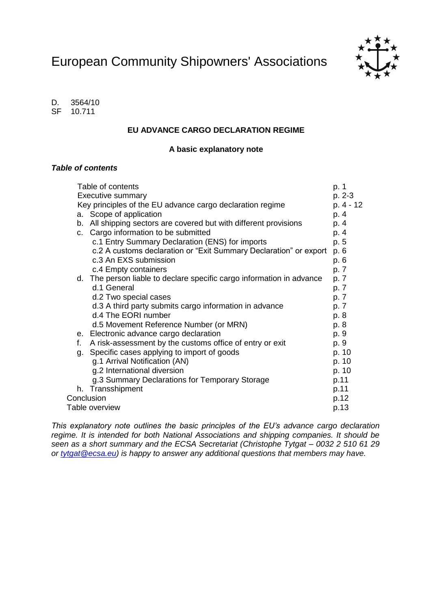European Community Shipowners' Associations



D. 3564/10 SF 10.711

#### **EU ADVANCE CARGO DECLARATION REGIME**

### **A basic explanatory note**

### *Table of contents*

|                        |    | Table of contents                                                     | p. 1      |
|------------------------|----|-----------------------------------------------------------------------|-----------|
|                        |    | <b>Executive summary</b>                                              | p. 2-3    |
|                        |    | Key principles of the EU advance cargo declaration regime             | p. 4 - 12 |
|                        |    | a. Scope of application                                               | p. 4      |
|                        |    | b. All shipping sectors are covered but with different provisions     | p. 4      |
|                        |    | c. Cargo information to be submitted                                  | p. 4      |
|                        |    | c.1 Entry Summary Declaration (ENS) for imports                       | p. 5      |
|                        |    | c.2 A customs declaration or "Exit Summary Declaration" or export     | p. 6      |
|                        |    | c.3 An EXS submission                                                 | p. 6      |
|                        |    | c.4 Empty containers                                                  | p. 7      |
|                        |    | d. The person liable to declare specific cargo information in advance | p. 7      |
|                        |    | d.1 General                                                           | p. 7      |
|                        |    | d.2 Two special cases                                                 | p. 7      |
|                        |    | d.3 A third party submits cargo information in advance                | p. 7      |
|                        |    | d.4 The EORI number                                                   | p. 8      |
|                        |    | d.5 Movement Reference Number (or MRN)                                | p. 8      |
|                        |    | e. Electronic advance cargo declaration                               | p. 9      |
|                        | f. | A risk-assessment by the customs office of entry or exit              | p. 9      |
|                        | g. | Specific cases applying to import of goods                            | p. 10     |
|                        |    | g.1 Arrival Notification (AN)                                         | p. 10     |
|                        |    | g.2 International diversion                                           | p. 10     |
|                        |    | g.3 Summary Declarations for Temporary Storage                        | p.11      |
|                        |    | h. Transshipment                                                      | p.11      |
| Conclusion             |    |                                                                       |           |
| Table overview<br>p.13 |    |                                                                       |           |

*This explanatory note outlines the basic principles of the EU's advance cargo declaration regime. It is intended for both National Associations and shipping companies. It should be seen as a short summary and the ECSA Secretariat (Christophe Tytgat – 0032 2 510 61 29 or [tytgat@ecsa.eu\)](mailto:tytgat@ecsa.eu) is happy to answer any additional questions that members may have.*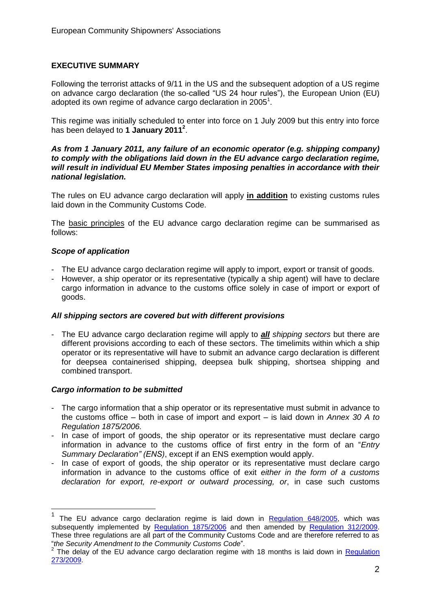# **EXECUTIVE SUMMARY**

Following the terrorist attacks of 9/11 in the US and the subsequent adoption of a US regime on advance cargo declaration (the so-called "US 24 hour rules"), the European Union (EU) adopted its own regime of advance cargo declaration in 2005<sup>1</sup>.

This regime was initially scheduled to enter into force on 1 July 2009 but this entry into force has been delayed to **1 January 2011<sup>2</sup>** .

#### *As from 1 January 2011, any failure of an economic operator (e.g. shipping company) to comply with the obligations laid down in the EU advance cargo declaration regime, will result in individual EU Member States imposing penalties in accordance with their national legislation.*

The rules on EU advance cargo declaration will apply **in addition** to existing customs rules laid down in the Community Customs Code.

The basic principles of the EU advance cargo declaration regime can be summarised as follows:

# *Scope of application*

- The EU advance cargo declaration regime will apply to import, export or transit of goods.
- However, a ship operator or its representative (typically a ship agent) will have to declare cargo information in advance to the customs office solely in case of import or export of goods.

#### *All shipping sectors are covered but with different provisions*

- The EU advance cargo declaration regime will apply to *all shipping sectors* but there are different provisions according to each of these sectors. The timelimits within which a ship operator or its representative will have to submit an advance cargo declaration is different for deepsea containerised shipping, deepsea bulk shipping, shortsea shipping and combined transport.

# *Cargo information to be submitted*

 $\overline{\phantom{a}}$ 

- The cargo information that a ship operator or its representative must submit in advance to the customs office – both in case of import and export – is laid down in *Annex 30 A to Regulation 1875/2006.*
- In case of import of goods, the ship operator or its representative must declare cargo information in advance to the customs office of first entry in the form of an "*Entry Summary Declaration" (ENS)*, except if an ENS exemption would apply.
- In case of export of goods, the ship operator or its representative must declare cargo information in advance to the customs office of exit *either in the form of a customs declaration for export, re-export or outward processing, or*, in case such customs

<sup>1</sup> The EU advance cargo declaration regime is laid down in [Regulation 648/2005,](http://eur-lex.europa.eu/LexUriServ/LexUriServ.do?uri=OJ:L:2005:117:0013:0019:EN:PDF) which was subsequently implemented by [Regulation 1875/2006](http://eur-lex.europa.eu/LexUriServ/LexUriServ.do?uri=OJ:L:2006:360:0064:0125:EN:PDF) and then amended by [Regulation 312/2009.](http://eur-lex.europa.eu/LexUriServ/LexUriServ.do?uri=OJ:L:2009:098:0003:0023:EN:PDF) These three regulations are all part of the Community Customs Code and are therefore referred to as "*the Security Amendment to the Community Customs Code*".

<sup>&</sup>lt;sup>2</sup> The delay of the EU advance cargo declaration regime with 18 months is laid down in Regulation [273/2009.](http://eur-lex.europa.eu/LexUriServ/LexUriServ.do?uri=OJ:L:2009:091:0014:0015:EN:PDF)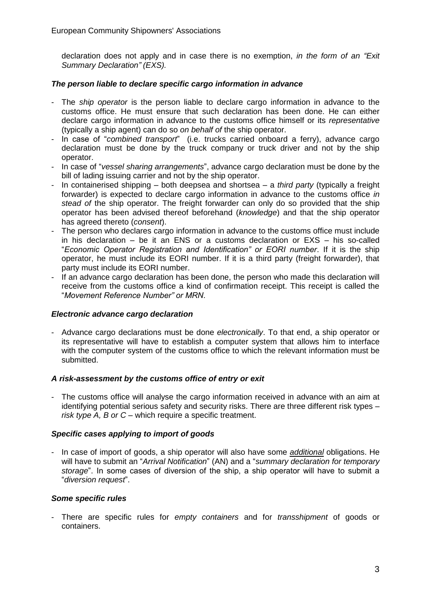declaration does not apply and in case there is no exemption, *in the form of an "Exit Summary Declaration" (EXS).* 

# *The person liable to declare specific cargo information in advance*

- The *ship operator* is the person liable to declare cargo information in advance to the customs office. He must ensure that such declaration has been done. He can either declare cargo information in advance to the customs office himself or its *representative* (typically a ship agent) can do so *on behalf of* the ship operator.
- In case of "*combined transport*" (i.e. trucks carried onboard a ferry), advance cargo declaration must be done by the truck company or truck driver and not by the ship operator.
- In case of "*vessel sharing arrangements*", advance cargo declaration must be done by the bill of lading issuing carrier and not by the ship operator.
- In containerised shipping both deepsea and shortsea a *third party* (typically a freight forwarder) is expected to declare cargo information in advance to the customs office *in stead of* the ship operator. The freight forwarder can only do so provided that the ship operator has been advised thereof beforehand (*knowledge*) and that the ship operator has agreed thereto (*consent*).
- The person who declares cargo information in advance to the customs office must include in his declaration – be it an ENS or a customs declaration or EXS – his so-called "*Economic Operator Registration and Identification" or EORI number*. If it is the ship operator, he must include its EORI number. If it is a third party (freight forwarder), that party must include its EORI number.
- If an advance cargo declaration has been done, the person who made this declaration will receive from the customs office a kind of confirmation receipt. This receipt is called the "*Movement Reference Number" or MRN*.

# *Electronic advance cargo declaration*

- Advance cargo declarations must be done *electronically*. To that end, a ship operator or its representative will have to establish a computer system that allows him to interface with the computer system of the customs office to which the relevant information must be submitted.

# *A risk-assessment by the customs office of entry or exit*

The customs office will analyse the cargo information received in advance with an aim at identifying potential serious safety and security risks. There are three different risk types – *risk type A, B or C* – which require a specific treatment.

# *Specific cases applying to import of goods*

- In case of import of goods, a ship operator will also have some *additional* obligations. He will have to submit an "*Arrival Notification*" (AN) and a "*summary declaration for temporary storage*". In some cases of diversion of the ship, a ship operator will have to submit a "*diversion request*".

#### *Some specific rules*

- There are specific rules for *empty containers* and for *transshipment* of goods or containers.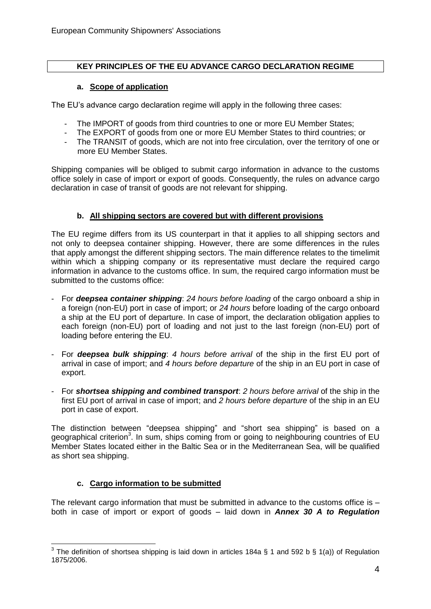# **KEY PRINCIPLES OF THE EU ADVANCE CARGO DECLARATION REGIME**

# **a. Scope of application**

The EU's advance cargo declaration regime will apply in the following three cases:

- The IMPORT of goods from third countries to one or more EU Member States;
- The EXPORT of goods from one or more EU Member States to third countries; or
- The TRANSIT of goods, which are not into free circulation, over the territory of one or more EU Member States.

Shipping companies will be obliged to submit cargo information in advance to the customs office solely in case of import or export of goods. Consequently, the rules on advance cargo declaration in case of transit of goods are not relevant for shipping.

# **b. All shipping sectors are covered but with different provisions**

The EU regime differs from its US counterpart in that it applies to all shipping sectors and not only to deepsea container shipping. However, there are some differences in the rules that apply amongst the different shipping sectors. The main difference relates to the timelimit within which a shipping company or its representative must declare the required cargo information in advance to the customs office. In sum, the required cargo information must be submitted to the customs office:

- For *deepsea container shipping*: *24 hours before loading* of the cargo onboard a ship in a foreign (non-EU) port in case of import; or *24 hours* before loading of the cargo onboard a ship at the EU port of departure. In case of import, the declaration obligation applies to each foreign (non-EU) port of loading and not just to the last foreign (non-EU) port of loading before entering the EU.
- For *deepsea bulk shipping*: *4 hours before arrival* of the ship in the first EU port of arrival in case of import; and *4 hours before departure* of the ship in an EU port in case of export.
- For *shortsea shipping and combined transport*: *2 hours before arrival* of the ship in the first EU port of arrival in case of import; and *2 hours before departure* of the ship in an EU port in case of export.

The distinction between "deepsea shipping" and "short sea shipping" is based on a geographical criterion<sup>3</sup>. In sum, ships coming from or going to neighbouring countries of EU Member States located either in the Baltic Sea or in the Mediterranean Sea, will be qualified as short sea shipping.

# **c. Cargo information to be submitted**

The relevant cargo information that must be submitted in advance to the customs office is both in case of import or export of goods – laid down in *Annex 30 A to Regulation* 

 $\overline{\phantom{a}}$ <sup>3</sup> The definition of shortsea shipping is laid down in articles 184a § 1 and 592 b § 1(a)) of Regulation 1875/2006.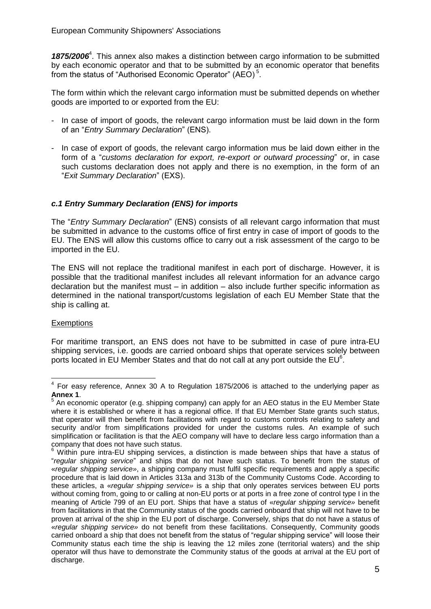1875/2006<sup>4</sup>. This annex also makes a distinction between cargo information to be submitted by each economic operator and that to be submitted by an economic operator that benefits from the status of "Authorised Economic Operator" (AEO)<sup>5</sup>.

The form within which the relevant cargo information must be submitted depends on whether goods are imported to or exported from the EU:

- In case of import of goods, the relevant cargo information must be laid down in the form of an "*Entry Summary Declaration*" (ENS).
- In case of export of goods, the relevant cargo information mus be laid down either in the form of a "*customs declaration for export, re-export or outward processing*" or, in case such customs declaration does not apply and there is no exemption, in the form of an "*Exit Summary Declaration*" (EXS).

# *c.1 Entry Summary Declaration (ENS) for imports*

The "*Entry Summary Declaration*" (ENS) consists of all relevant cargo information that must be submitted in advance to the customs office of first entry in case of import of goods to the EU. The ENS will allow this customs office to carry out a risk assessment of the cargo to be imported in the EU.

The ENS will not replace the traditional manifest in each port of discharge. However, it is possible that the traditional manifest includes all relevant information for an advance cargo declaration but the manifest must – in addition – also include further specific information as determined in the national transport/customs legislation of each EU Member State that the ship is calling at.

# **Exemptions**

For maritime transport, an ENS does not have to be submitted in case of pure intra-EU shipping services, i.e. goods are carried onboard ships that operate services solely between ports located in EU Member States and that do not call at any port outside the EU $^6$ .

<sup>————————————————————&</sup>lt;br><sup>4</sup> For easy reference, Annex 30 A to Regulation 1875/2006 is attached to the underlying paper as

**Annex 1**.<br><sup>5</sup> An economic operator (e.g. shipping company) can apply for an AEO status in the EU Member State where it is established or where it has a regional office. If that EU Member State grants such status, that operator will then benefit from facilitations with regard to customs controls relating to safety and security and/or from simplifications provided for under the customs rules. An example of such simplification or facilitation is that the AEO company will have to declare less cargo information than a company that does not have such status.

Within pure intra-EU shipping services, a distinction is made between ships that have a status of "*regular shipping service*" and ships that do not have such status. To benefit from the status of «*regular shipping service»*, a shipping company must fulfil specific requirements and apply a specific procedure that is laid down in Articles 313a and 313b of the Community Customs Code. According to these articles, a «*regular shipping service»* is a ship that only operates services between EU ports without coming from, going to or calling at non-EU ports or at ports in a free zone of control type I in the meaning of Article 799 of an EU port. Ships that have a status of «*regular shipping service»* benefit from facilitations in that the Community status of the goods carried onboard that ship will not have to be proven at arrival of the ship in the EU port of discharge. Conversely, ships that do not have a status of «*regular shipping service»* do not benefit from these facilitations. Consequently, Community goods carried onboard a ship that does not benefit from the status of "regular shipping service" will loose their Community status each time the ship is leaving the 12 miles zone (territorial waters) and the ship operator will thus have to demonstrate the Community status of the goods at arrival at the EU port of discharge.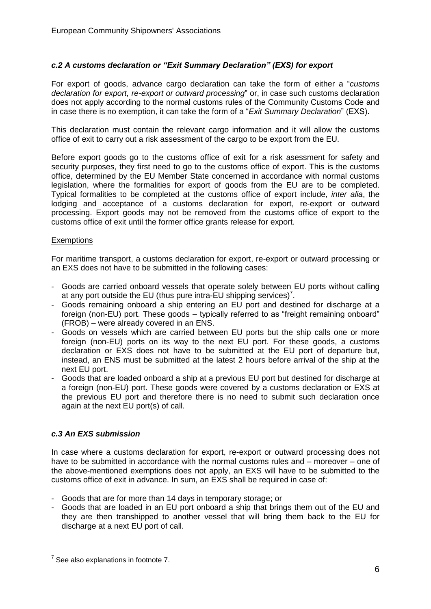# *c.2 A customs declaration or "Exit Summary Declaration" (EXS) for export*

For export of goods, advance cargo declaration can take the form of either a "*customs declaration for export, re-export or outward processing*" or, in case such customs declaration does not apply according to the normal customs rules of the Community Customs Code and in case there is no exemption, it can take the form of a "*Exit Summary Declaration*" (EXS).

This declaration must contain the relevant cargo information and it will allow the customs office of exit to carry out a risk assessment of the cargo to be export from the EU.

Before export goods go to the customs office of exit for a risk asessment for safety and security purposes, they first need to go to the customs office of export. This is the customs office, determined by the EU Member State concerned in accordance with normal customs legislation, where the formalities for export of goods from the EU are to be completed. Typical formalities to be completed at the customs office of export include, *inter alia*, the lodging and acceptance of a customs declaration for export, re-export or outward processing. Export goods may not be removed from the customs office of export to the customs office of exit until the former office grants release for export.

#### **Exemptions**

For maritime transport, a customs declaration for export, re-export or outward processing or an EXS does not have to be submitted in the following cases:

- Goods are carried onboard vessels that operate solely between EU ports without calling at any port outside the EU (thus pure intra-EU shipping services)<sup>7</sup>.
- Goods remaining onboard a ship entering an EU port and destined for discharge at a foreign (non-EU) port. These goods – typically referred to as "freight remaining onboard" (FROB) – were already covered in an ENS.
- Goods on vessels which are carried between EU ports but the ship calls one or more foreign (non-EU) ports on its way to the next EU port. For these goods, a customs declaration or EXS does not have to be submitted at the EU port of departure but, instead, an ENS must be submitted at the latest 2 hours before arrival of the ship at the next EU port.
- Goods that are loaded onboard a ship at a previous EU port but destined for discharge at a foreign (non-EU) port. These goods were covered by a customs declaration or EXS at the previous EU port and therefore there is no need to submit such declaration once again at the next EU port(s) of call.

# *c.3 An EXS submission*

In case where a customs declaration for export, re-export or outward processing does not have to be submitted in accordance with the normal customs rules and – moreover – one of the above-mentioned exemptions does not apply, an EXS will have to be submitted to the customs office of exit in advance. In sum, an EXS shall be required in case of:

- Goods that are for more than 14 days in temporary storage; or
- Goods that are loaded in an EU port onboard a ship that brings them out of the EU and they are then transhipped to another vessel that will bring them back to the EU for discharge at a next EU port of call.

 $\overline{a}$ 

 $7$  See also explanations in footnote 7.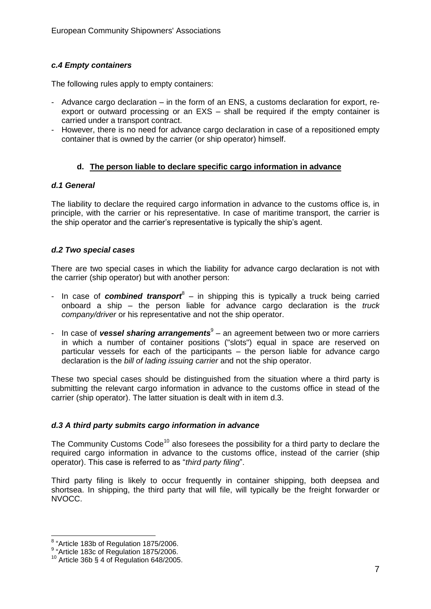# *c.4 Empty containers*

The following rules apply to empty containers:

- Advance cargo declaration in the form of an ENS, a customs declaration for export, reexport or outward processing or an EXS – shall be required if the empty container is carried under a transport contract.
- However, there is no need for advance cargo declaration in case of a repositioned empty container that is owned by the carrier (or ship operator) himself.

# **d. The person liable to declare specific cargo information in advance**

#### *d.1 General*

The liability to declare the required cargo information in advance to the customs office is, in principle, with the carrier or his representative. In case of maritime transport, the carrier is the ship operator and the carrier's representative is typically the ship's agent.

# *d.2 Two special cases*

There are two special cases in which the liability for advance cargo declaration is not with the carrier (ship operator) but with another person:

- In case of **combined transport**<sup>8</sup> in shipping this is typically a truck being carried onboard a ship – the person liable for advance cargo declaration is the *truck company/driver* or his representative and not the ship operator.
- In case of **vessel sharing arrangements**<sup>9</sup> an agreement between two or more carriers in which a number of container positions ("slots") equal in space are reserved on particular vessels for each of the participants – the person liable for advance cargo declaration is the *bill of lading issuing carrier* and not the ship operator.

These two special cases should be distinguished from the situation where a third party is submitting the relevant cargo information in advance to the customs office in stead of the carrier (ship operator). The latter situation is dealt with in item d.3.

# *d.3 A third party submits cargo information in advance*

The Community Customs  $Code<sup>10</sup>$  also foresees the possibility for a third party to declare the required cargo information in advance to the customs office, instead of the carrier (ship operator). This case is referred to as "*third party filing*".

Third party filing is likely to occur frequently in container shipping, both deepsea and shortsea. In shipping, the third party that will file, will typically be the freight forwarder or NVOCC.

 8 "Article 183b of Regulation 1875/2006.

<sup>9</sup> "Article 183c of Regulation 1875/2006.

 $10$  Article 36b § 4 of Regulation 648/2005.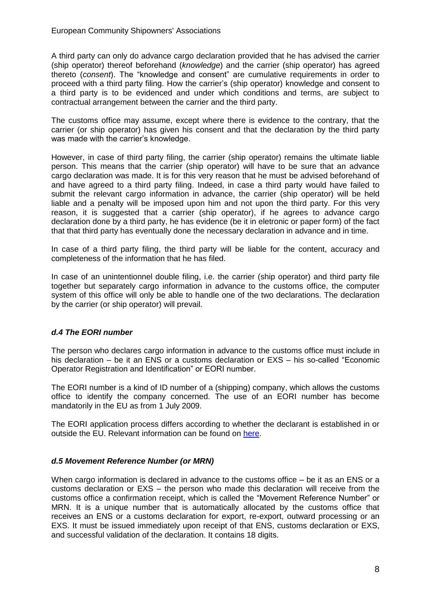A third party can only do advance cargo declaration provided that he has advised the carrier (ship operator) thereof beforehand (*knowledge*) and the carrier (ship operator) has agreed thereto (*consent*). The "knowledge and consent" are cumulative requirements in order to proceed with a third party filing. How the carrier's (ship operator) knowledge and consent to a third party is to be evidenced and under which conditions and terms, are subject to contractual arrangement between the carrier and the third party.

The customs office may assume, except where there is evidence to the contrary, that the carrier (or ship operator) has given his consent and that the declaration by the third party was made with the carrier's knowledge.

However, in case of third party filing, the carrier (ship operator) remains the ultimate liable person. This means that the carrier (ship operator) will have to be sure that an advance cargo declaration was made. It is for this very reason that he must be advised beforehand of and have agreed to a third party filing. Indeed, in case a third party would have failed to submit the relevant cargo information in advance, the carrier (ship operator) will be held liable and a penalty will be imposed upon him and not upon the third party. For this very reason, it is suggested that a carrier (ship operator), if he agrees to advance cargo declaration done by a third party, he has evidence (be it in eletronic or paper form) of the fact that that third party has eventually done the necessary declaration in advance and in time.

In case of a third party filing, the third party will be liable for the content, accuracy and completeness of the information that he has filed.

In case of an unintentionnel double filing, i.e. the carrier (ship operator) and third party file together but separately cargo information in advance to the customs office, the computer system of this office will only be able to handle one of the two declarations. The declaration by the carrier (or ship operator) will prevail.

# *d.4 The EORI number*

The person who declares cargo information in advance to the customs office must include in his declaration – be it an ENS or a customs declaration or EXS – his so-called "Economic Operator Registration and Identification" or EORI number.

The EORI number is a kind of ID number of a (shipping) company, which allows the customs office to identify the company concerned. The use of an EORI number has become mandatorily in the EU as from 1 July 2009.

The EORI application process differs according to whether the declarant is established in or outside the EU. Relevant information can be found on [here.](http://ec.europa.eu/taxation_customs/resources/documents/customs/security_amendment/EORI_guidelines_en.pdf)

# *d.5 Movement Reference Number (or MRN)*

When cargo information is declared in advance to the customs office – be it as an ENS or a customs declaration or EXS – the person who made this declaration will receive from the customs office a confirmation receipt, which is called the "Movement Reference Number" or MRN. It is a unique number that is automatically allocated by the customs office that receives an ENS or a customs declaration for export, re-export, outward processing or an EXS. It must be issued immediately upon receipt of that ENS, customs declaration or EXS, and successful validation of the declaration. It contains 18 digits.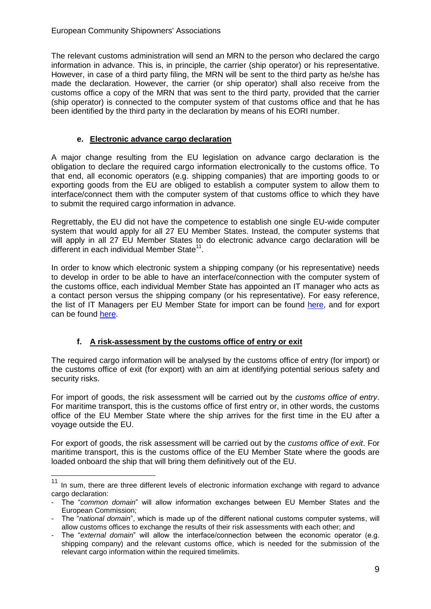The relevant customs administration will send an MRN to the person who declared the cargo information in advance. This is, in principle, the carrier (ship operator) or his representative. However, in case of a third party filing, the MRN will be sent to the third party as he/she has made the declaration. However, the carrier (or ship operator) shall also receive from the customs office a copy of the MRN that was sent to the third party, provided that the carrier (ship operator) is connected to the computer system of that customs office and that he has been identified by the third party in the declaration by means of his EORI number.

# **e. Electronic advance cargo declaration**

A major change resulting from the EU legislation on advance cargo declaration is the obligation to declare the required cargo information electronically to the customs office. To that end, all economic operators (e.g. shipping companies) that are importing goods to or exporting goods from the EU are obliged to establish a computer system to allow them to interface/connect them with the computer system of that customs office to which they have to submit the required cargo information in advance.

Regrettably, the EU did not have the competence to establish one single EU-wide computer system that would apply for all 27 EU Member States. Instead, the computer systems that will apply in all 27 EU Member States to do electronic advance cargo declaration will be different in each individual Member State<sup>11</sup>.

In order to know which electronic system a shipping company (or his representative) needs to develop in order to be able to have an interface/connection with the computer system of the customs office, each individual Member State has appointed an IT manager who acts as a contact person versus the shipping company (or his representative). For easy reference, the list of IT Managers per EU Member State for import can be found [here,](http://ec.europa.eu/ecip/documents/procedures/national_contacts_ics_en.pdf) and for export can be found [here.](http://ec.europa.eu/ecip/documents/procedures/national_contacts_ecs_en.pdf)

# **f. A risk-assessment by the customs office of entry or exit**

 $\overline{\phantom{a}}$ 

The required cargo information will be analysed by the customs office of entry (for import) or the customs office of exit (for export) with an aim at identifying potential serious safety and security risks.

For import of goods, the risk assessment will be carried out by the *customs office of entry*. For maritime transport, this is the customs office of first entry or, in other words, the customs office of the EU Member State where the ship arrives for the first time in the EU after a voyage outside the EU.

For export of goods, the risk assessment will be carried out by the *customs office of exit*. For maritime transport, this is the customs office of the EU Member State where the goods are loaded onboard the ship that will bring them definitively out of the EU.

In sum, there are three different levels of electronic information exchange with regard to advance cargo declaration:

<sup>-</sup> The "*common domain*" will allow information exchanges between EU Member States and the European Commission;

<sup>-</sup> The "*national domain*", which is made up of the different national customs computer systems, will allow customs offices to exchange the results of their risk assessments with each other; and

The "*external domain*" will allow the interface/connection between the economic operator (e.g. shipping company) and the relevant customs office, which is needed for the submission of the relevant cargo information within the required timelimits.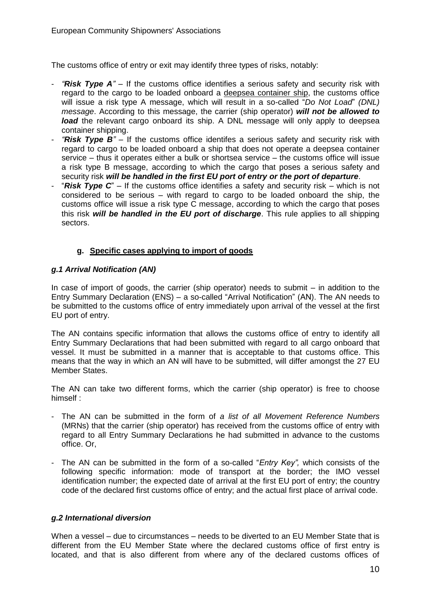The customs office of entry or exit may identify three types of risks, notably:

- *"Risk Type A" –* If the customs office identifies a serious safety and security risk with regard to the cargo to be loaded onboard a deepsea container ship, the customs office will issue a risk type A message, which will result in a so-called "*Do Not Load*" *(DNL) message*. According to this message, the carrier (ship operator) *will not be allowed to load* the relevant cargo onboard its ship. A DNL message will only apply to deepsea container shipping.
- *"Risk Type B" –* If the customs office identifes a serious safety and security risk with regard to cargo to be loaded onboard a ship that does not operate a deepsea container service – thus it operates either a bulk or shortsea service – the customs office will issue a risk type B message, according to which the cargo that poses a serious safety and security risk *will be handled in the first EU port of entry or the port of departure*.
- "**Risk Type C**" If the customs office identifies a safety and security risk which is not considered to be serious – with regard to cargo to be loaded onboard the ship, the customs office will issue a risk type C message, according to which the cargo that poses this risk *will be handled in the EU port of discharge*. This rule applies to all shipping sectors.

# **g. Specific cases applying to import of goods**

# *g.1 Arrival Notification (AN)*

In case of import of goods, the carrier (ship operator) needs to submit  $-$  in addition to the Entry Summary Declaration (ENS) – a so-called "Arrival Notification" (AN). The AN needs to be submitted to the customs office of entry immediately upon arrival of the vessel at the first EU port of entry.

The AN contains specific information that allows the customs office of entry to identify all Entry Summary Declarations that had been submitted with regard to all cargo onboard that vessel. It must be submitted in a manner that is acceptable to that customs office. This means that the way in which an AN will have to be submitted, will differ amongst the 27 EU Member States.

The AN can take two different forms, which the carrier (ship operator) is free to choose himself :

- The AN can be submitted in the form of *a list of all Movement Reference Numbers* (MRNs) that the carrier (ship operator) has received from the customs office of entry with regard to all Entry Summary Declarations he had submitted in advance to the customs office. Or,
- The AN can be submitted in the form of a so-called "*Entry Key",* which consists of the following specific information: mode of transport at the border; the IMO vessel identification number; the expected date of arrival at the first EU port of entry; the country code of the declared first customs office of entry; and the actual first place of arrival code.

# *g.2 International diversion*

When a vessel – due to circumstances – needs to be diverted to an EU Member State that is different from the EU Member State where the declared customs office of first entry is located, and that is also different from where any of the declared customs offices of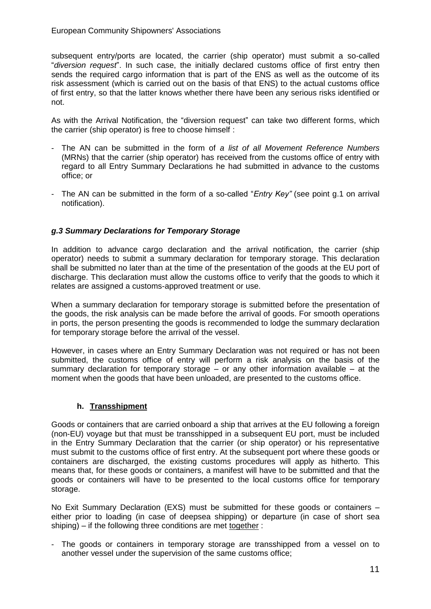subsequent entry/ports are located, the carrier (ship operator) must submit a so-called "*diversion request*". In such case, the initially declared customs office of first entry then sends the required cargo information that is part of the ENS as well as the outcome of its risk assessment (which is carried out on the basis of that ENS) to the actual customs office of first entry, so that the latter knows whether there have been any serious risks identified or not.

As with the Arrival Notification, the "diversion request" can take two different forms, which the carrier (ship operator) is free to choose himself :

- The AN can be submitted in the form of *a list of all Movement Reference Numbers* (MRNs) that the carrier (ship operator) has received from the customs office of entry with regard to all Entry Summary Declarations he had submitted in advance to the customs office; or
- The AN can be submitted in the form of a so-called "*Entry Key"* (see point g.1 on arrival notification).

# *g.3 Summary Declarations for Temporary Storage*

In addition to advance cargo declaration and the arrival notification, the carrier (ship operator) needs to submit a summary declaration for temporary storage. This declaration shall be submitted no later than at the time of the presentation of the goods at the EU port of discharge. This declaration must allow the customs office to verify that the goods to which it relates are assigned a customs-approved treatment or use.

When a summary declaration for temporary storage is submitted before the presentation of the goods, the risk analysis can be made before the arrival of goods. For smooth operations in ports, the person presenting the goods is recommended to lodge the summary declaration for temporary storage before the arrival of the vessel.

However, in cases where an Entry Summary Declaration was not required or has not been submitted, the customs office of entry will perform a risk analysis on the basis of the summary declaration for temporary storage – or any other information available – at the moment when the goods that have been unloaded, are presented to the customs office.

# **h. Transshipment**

Goods or containers that are carried onboard a ship that arrives at the EU following a foreign (non-EU) voyage but that must be transshipped in a subsequent EU port, must be included in the Entry Summary Declaration that the carrier (or ship operator) or his representative must submit to the customs office of first entry. At the subsequent port where these goods or containers are discharged, the existing customs procedures will apply as hitherto. This means that, for these goods or containers, a manifest will have to be submitted and that the goods or containers will have to be presented to the local customs office for temporary storage.

No Exit Summary Declaration (EXS) must be submitted for these goods or containers – either prior to loading (in case of deepsea shipping) or departure (in case of short sea shiping) – if the following three conditions are met together :

- The goods or containers in temporary storage are transshipped from a vessel on to another vessel under the supervision of the same customs office;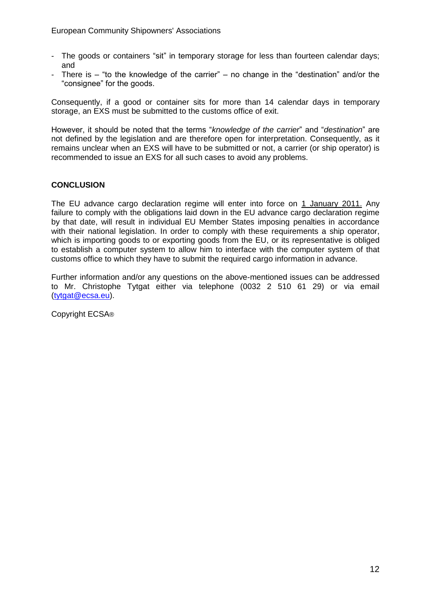- The goods or containers "sit" in temporary storage for less than fourteen calendar days; and
- There is  $-$  "to the knowledge of the carrier"  $-$  no change in the "destination" and/or the "consignee" for the goods.

Consequently, if a good or container sits for more than 14 calendar days in temporary storage, an EXS must be submitted to the customs office of exit.

However, it should be noted that the terms "*knowledge of the carrier*" and "*destination*" are not defined by the legislation and are therefore open for interpretation. Consequently, as it remains unclear when an EXS will have to be submitted or not, a carrier (or ship operator) is recommended to issue an EXS for all such cases to avoid any problems.

# **CONCLUSION**

The EU advance cargo declaration regime will enter into force on 1 January 2011. Any failure to comply with the obligations laid down in the EU advance cargo declaration regime by that date, will result in individual EU Member States imposing penalties in accordance with their national legislation. In order to comply with these requirements a ship operator, which is importing goods to or exporting goods from the EU, or its representative is obliged to establish a computer system to allow him to interface with the computer system of that customs office to which they have to submit the required cargo information in advance.

Further information and/or any questions on the above-mentioned issues can be addressed to Mr. Christophe Tytgat either via telephone (0032 2 510 61 29) or via email [\(tytgat@ecsa.eu\)](mailto:tytgat@ecsa.eu).

Copyright ECSA®